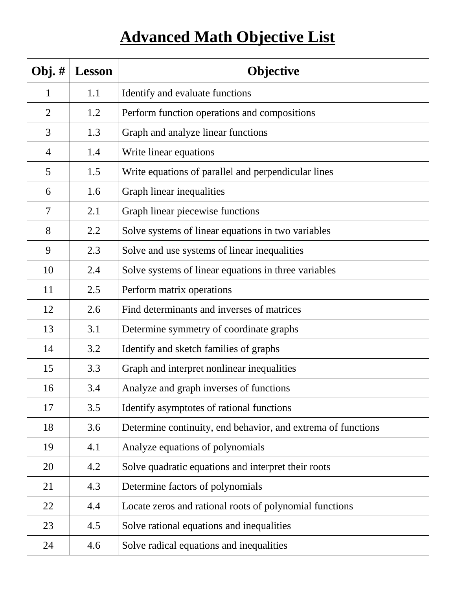## **Advanced Math Objective List**

| Obj. $#$       | <b>Lesson</b> | Objective                                                    |
|----------------|---------------|--------------------------------------------------------------|
| 1              | 1.1           | Identify and evaluate functions                              |
| $\overline{2}$ | 1.2           | Perform function operations and compositions                 |
| 3              | 1.3           | Graph and analyze linear functions                           |
| $\overline{4}$ | 1.4           | Write linear equations                                       |
| 5              | 1.5           | Write equations of parallel and perpendicular lines          |
| 6              | 1.6           | Graph linear inequalities                                    |
| 7              | 2.1           | Graph linear piecewise functions                             |
| 8              | 2.2           | Solve systems of linear equations in two variables           |
| 9              | 2.3           | Solve and use systems of linear inequalities                 |
| 10             | 2.4           | Solve systems of linear equations in three variables         |
| 11             | 2.5           | Perform matrix operations                                    |
| 12             | 2.6           | Find determinants and inverses of matrices                   |
| 13             | 3.1           | Determine symmetry of coordinate graphs                      |
| 14             | 3.2           | Identify and sketch families of graphs                       |
| 15             | 3.3           | Graph and interpret nonlinear inequalities                   |
| 16             | 3.4           | Analyze and graph inverses of functions                      |
| 17             | 3.5           | Identify asymptotes of rational functions                    |
| 18             | 3.6           | Determine continuity, end behavior, and extrema of functions |
| 19             | 4.1           | Analyze equations of polynomials                             |
| 20             | 4.2           | Solve quadratic equations and interpret their roots          |
| 21             | 4.3           | Determine factors of polynomials                             |
| 22             | 4.4           | Locate zeros and rational roots of polynomial functions      |
| 23             | 4.5           | Solve rational equations and inequalities                    |
| 24             | 4.6           | Solve radical equations and inequalities                     |